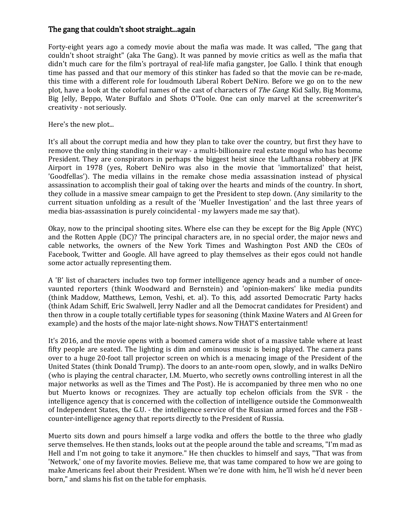## The gang that couldn't shoot straight...again

Forty-eight years ago a comedy movie about the mafia was made. It was called, "The gang that couldn't shoot straight" (aka The Gang). It was panned by movie critics as well as the mafia that didn't much care for the film's portrayal of real-life mafia gangster, Joe Gallo. I think that enough time has passed and that our memory of this stinker has faded so that the movie can be re-made, this time with a different role for loudmouth Liberal Robert DeNiro. Before we go on to the new plot, have a look at the colorful names of the cast of characters of *The Gang*: Kid Sally, Big Momma, Big Jelly, Beppo, Water Buffalo and Shots O'Toole. One can only marvel at the screenwriter's creativity - not seriously.

Here's the new plot...

It's all about the corrupt media and how they plan to take over the country, but first they have to remove the only thing standing in their way - a multi-billionaire real estate mogul who has become President. They are conspirators in perhaps the biggest heist since the Lufthansa robbery at JFK Airport in 1978 (yes, Robert DeNiro was also in the movie that 'immortalized' that heist, 'Goodfellas'). The media villains in the remake chose media assassination instead of physical assassination to accomplish their goal of taking over the hearts and minds of the country. In short, they collude in a massive smear campaign to get the President to step down. (Any similarity to the current situation unfolding as a result of the 'Mueller Investigation' and the last three years of media bias-assassination is purely coincidental - my lawyers made me say that).

Okay, now to the principal shooting sites. Where else can they be except for the Big Apple (NYC) and the Rotten Apple (DC)? The principal characters are, in no special order, the major news and cable networks, the owners of the New York Times and Washington Post AND the CEOs of Facebook, Twitter and Google. All have agreed to play themselves as their egos could not handle some actor actually representing them.

A 'B' list of characters includes two top former intelligence agency heads and a number of oncevaunted reporters (think Woodward and Bernstein) and 'opinion-makers' like media pundits (think Maddow, Matthews, Lemon, Veshi, et. al). To this, add assorted Democratic Party hacks (think Adam Schiff, Eric Swalwell, Jerry Nadler and all the Democrat candidates for President) and then throw in a couple totally certifiable types for seasoning (think Maxine Waters and Al Green for example) and the hosts of the major late-night shows. Now THAT'S entertainment!

It's 2016, and the movie opens with a boomed camera wide shot of a massive table where at least fifty people are seated. The lighting is dim and ominous music is being played. The camera pans over to a huge 20-foot tall projector screen on which is a menacing image of the President of the United States (think Donald Trump). The doors to an ante-room open, slowly, and in walks DeNiro (who is playing the central character, I.M. Muerto, who secretly owns controlling interest in all the major networks as well as the Times and The Post). He is accompanied by three men who no one but Muerto knows or recognizes. They are actually top echelon officials from the SVR - the intelligence agency that is concerned with the collection of intelligence outside the Commonwealth of Independent States, the G.U. - the intelligence service of the Russian armed forces and the FSB counter-intelligence agency that reports directly to the President of Russia.

Muerto sits down and pours himself a large vodka and offers the bottle to the three who gladly serve themselves. He then stands, looks out at the people around the table and screams, "I'm mad as Hell and I'm not going to take it anymore." He then chuckles to himself and says, "That was from 'Network,' one of my favorite movies. Believe me, that was tame compared to how we are going to make Americans feel about their President. When we're done with him, he'll wish he'd never been born," and slams his fist on the table for emphasis.